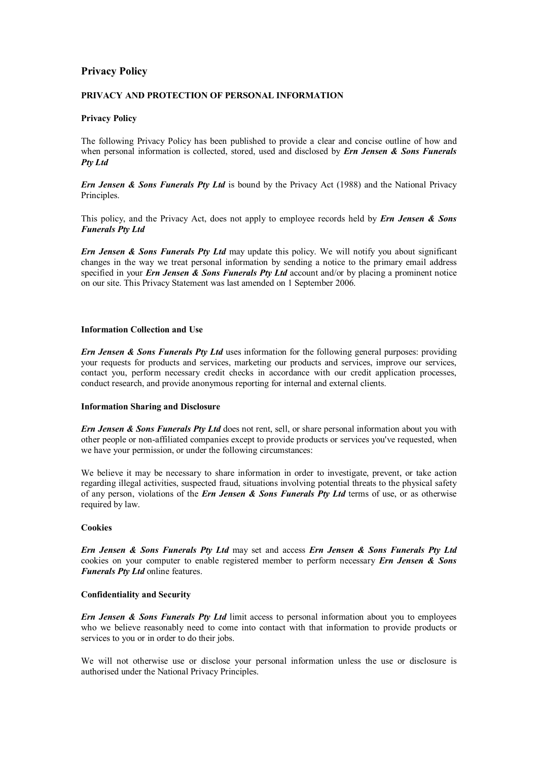# **Privacy Policy**

## **PRIVACY AND PROTECTION OF PERSONAL INFORMATION**

## **Privacy Policy**

The following Privacy Policy has been published to provide a clear and concise outline of how and when personal information is collected, stored, used and disclosed by *Ern Jensen & Sons Funerals Pty Ltd* 

*Ern Jensen & Sons Funerals Pty Ltd* is bound by the Privacy Act (1988) and the National Privacy Principles.

This policy, and the Privacy Act, does not apply to employee records held by *Ern Jensen & Sons Funerals Pty Ltd* 

*Ern Jensen & Sons Funerals Pty Ltd* may update this policy. We will notify you about significant changes in the way we treat personal information by sending a notice to the primary email address specified in your *Ern Jensen & Sons Funerals Pty Ltd* account and/or by placing a prominent notice on our site. This Privacy Statement was last amended on 1 September 2006.

### **Information Collection and Use**

*Ern Jensen & Sons Funerals Pty Ltd* uses information for the following general purposes: providing your requests for products and services, marketing our products and services, improve our services, contact you, perform necessary credit checks in accordance with our credit application processes, conduct research, and provide anonymous reporting for internal and external clients.

#### **Information Sharing and Disclosure**

*Ern Jensen & Sons Funerals Pty Ltd* does not rent, sell, or share personal information about you with other people or non-affiliated companies except to provide products or services you've requested, when we have your permission, or under the following circumstances:

We believe it may be necessary to share information in order to investigate, prevent, or take action regarding illegal activities, suspected fraud, situations involving potential threats to the physical safety of any person, violations of the *Ern Jensen & Sons Funerals Pty Ltd* terms of use, or as otherwise required by law.

## **Cookies**

*Ern Jensen & Sons Funerals Pty Ltd* may set and access *Ern Jensen & Sons Funerals Pty Ltd* cookies on your computer to enable registered member to perform necessary *Ern Jensen & Sons Funerals Pty Ltd* online features.

#### **Confidentiality and Security**

*Ern Jensen & Sons Funerals Pty Ltd* limit access to personal information about you to employees who we believe reasonably need to come into contact with that information to provide products or services to you or in order to do their jobs.

We will not otherwise use or disclose your personal information unless the use or disclosure is authorised under the National Privacy Principles.